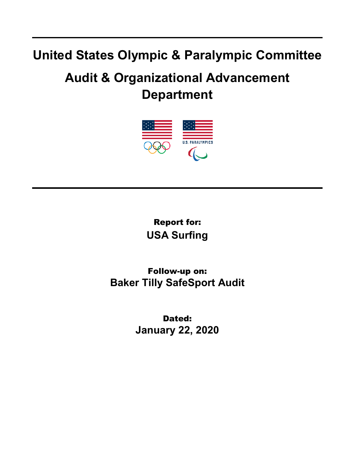## **United States Olympic & Paralympic Committee**

## **Audit & Organizational Advancement Department**



Report for: **USA Surfing** 

Follow-up on: **Baker Tilly SafeSport Audit**

> Dated: **January 22, 2020**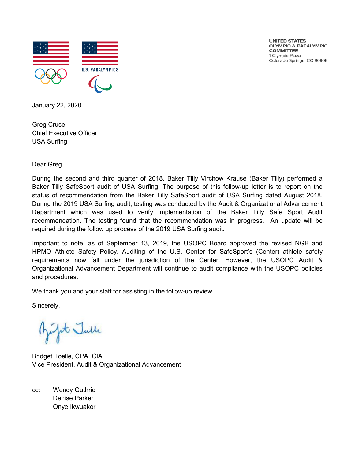



January 22, 2020

Greg Cruse Chief Executive Officer USA Surfing

Dear Greg,

During the second and third quarter of 2018, Baker Tilly Virchow Krause (Baker Tilly) performed a Baker Tilly SafeSport audit of USA Surfing. The purpose of this follow-up letter is to report on the status of recommendation from the Baker Tilly SafeSport audit of USA Surfing dated August 2018. During the 2019 USA Surfing audit, testing was conducted by the Audit & Organizational Advancement Department which was used to verify implementation of the Baker Tilly Safe Sport Audit recommendation. The testing found that the recommendation was in progress. An update will be required during the follow up process of the 2019 USA Surfing audit.

Important to note, as of September 13, 2019, the USOPC Board approved the revised NGB and HPMO Athlete Safety Policy. Auditing of the U.S. Center for SafeSport's (Center) athlete safety requirements now fall under the jurisdiction of the Center. However, the USOPC Audit & Organizational Advancement Department will continue to audit compliance with the USOPC policies and procedures.

We thank you and your staff for assisting in the follow-up review.

Sincerely,

fit Julle

Bridget Toelle, CPA, CIA Vice President, Audit & Organizational Advancement

cc: Wendy Guthrie Denise Parker Onye Ikwuakor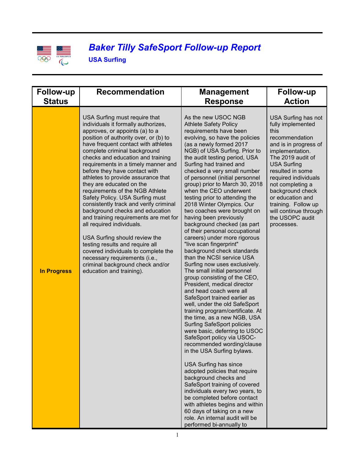

## *Baker Tilly SafeSport Follow-up Report*

**USA Surfing**

| <b>Follow-up</b>   | <b>Recommendation</b>                                                                                                                                                                                                                                                                                                                                                                                                                                                                                                                                                                                                                                                                                                                                                                                                                      | <b>Management</b>                                                                                                                                                                                                                                                                                                                                                                                                                                                                                                                                                                                                                                                                                                                                                                                                                                                                                                                                                                                                                                                                                                                                                                                                                                                                                                                                                                                                                                                        | <b>Follow-up</b>                                                                                                                                                                                                                                                                                                                                   |
|--------------------|--------------------------------------------------------------------------------------------------------------------------------------------------------------------------------------------------------------------------------------------------------------------------------------------------------------------------------------------------------------------------------------------------------------------------------------------------------------------------------------------------------------------------------------------------------------------------------------------------------------------------------------------------------------------------------------------------------------------------------------------------------------------------------------------------------------------------------------------|--------------------------------------------------------------------------------------------------------------------------------------------------------------------------------------------------------------------------------------------------------------------------------------------------------------------------------------------------------------------------------------------------------------------------------------------------------------------------------------------------------------------------------------------------------------------------------------------------------------------------------------------------------------------------------------------------------------------------------------------------------------------------------------------------------------------------------------------------------------------------------------------------------------------------------------------------------------------------------------------------------------------------------------------------------------------------------------------------------------------------------------------------------------------------------------------------------------------------------------------------------------------------------------------------------------------------------------------------------------------------------------------------------------------------------------------------------------------------|----------------------------------------------------------------------------------------------------------------------------------------------------------------------------------------------------------------------------------------------------------------------------------------------------------------------------------------------------|
| <b>Status</b>      |                                                                                                                                                                                                                                                                                                                                                                                                                                                                                                                                                                                                                                                                                                                                                                                                                                            | <b>Response</b>                                                                                                                                                                                                                                                                                                                                                                                                                                                                                                                                                                                                                                                                                                                                                                                                                                                                                                                                                                                                                                                                                                                                                                                                                                                                                                                                                                                                                                                          | <b>Action</b>                                                                                                                                                                                                                                                                                                                                      |
| <b>In Progress</b> | USA Surfing must require that<br>individuals it formally authorizes,<br>approves, or appoints (a) to a<br>position of authority over, or (b) to<br>have frequent contact with athletes<br>complete criminal background<br>checks and education and training<br>requirements in a timely manner and<br>before they have contact with<br>athletes to provide assurance that<br>they are educated on the<br>requirements of the NGB Athlete<br>Safety Policy. USA Surfing must<br>consistently track and verify criminal<br>background checks and education<br>and training requirements are met for<br>all required individuals.<br>USA Surfing should review the<br>testing results and require all<br>covered individuals to complete the<br>necessary requirements (i.e.,<br>criminal background check and/or<br>education and training). | As the new USOC NGB<br><b>Athlete Safety Policy</b><br>requirements have been<br>evolving, so have the policies<br>(as a newly formed 2017<br>NGB) of USA Surfing. Prior to<br>the audit testing period, USA<br>Surfing had trained and<br>checked a very small number<br>of personnel (initial personnel<br>group) prior to March 30, 2018<br>when the CEO underwent<br>testing prior to attending the<br>2018 Winter Olympics. Our<br>two coaches were brought on<br>having been previously<br>background checked (as part<br>of their personal occupational<br>careers) under more rigorous<br>"live scan fingerprint"<br>background check standards<br>than the NCSI service USA<br>Surfing now uses exclusively.<br>The small initial personnel<br>group consisting of the CEO,<br>President, medical director<br>and head coach were all<br>SafeSport trained earlier as<br>well, under the old SafeSport<br>training program/certificate. At<br>the time, as a new NGB, USA<br><b>Surfing SafeSport policies</b><br>were basic, deferring to USOC<br>SafeSport policy via USOC-<br>recommended wording/clause<br>in the USA Surfing bylaws.<br>USA Surfing has since<br>adopted policies that require<br>background checks and<br>SafeSport training of covered<br>individuals every two years, to<br>be completed before contact<br>with athletes begins and within<br>60 days of taking on a new<br>role. An internal audit will be<br>performed bi-annually to | USA Surfing has not<br>fully implemented<br>this<br>recommendation<br>and is in progress of<br>implementation.<br>The 2019 audit of<br><b>USA Surfing</b><br>resulted in some<br>required individuals<br>not completing a<br>background check<br>or education and<br>training. Follow up<br>will continue through<br>the USOPC audit<br>processes. |